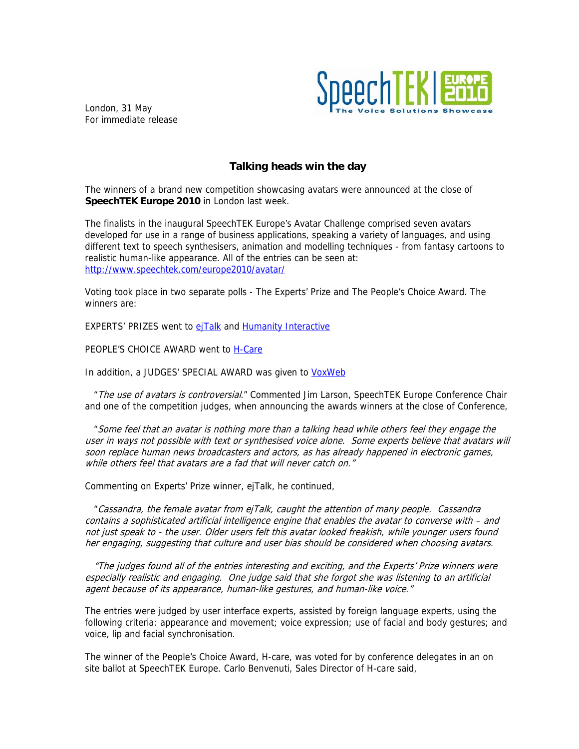

London, 31 May For immediate release

## **Talking heads win the day**

The winners of a brand new competition showcasing avatars were announced at the close of **SpeechTEK Europe 2010** in London last week.

The finalists in the inaugural SpeechTEK Europe's Avatar Challenge comprised seven avatars developed for use in a range of business applications, speaking a variety of languages, and using different text to speech synthesisers, animation and modelling techniques - from fantasy cartoons to realistic human-like appearance. All of the entries can be seen at: <http://www.speechtek.com/europe2010/avatar/>

Voting took place in two separate polls - The Experts' Prize and The People's Choice Award. The winners are:

EXPERTS' PRIZES went to [ejTalk](http://www.speechtek.com/europe2010/avatar/ejtalk.aspx) and [Humanity Interactive](http://www.speechtek.com/europe2010/avatar/HumanityInteractive.aspx)

PEOPLE'S CHOICE AWARD went to [H-Care](http://www.speechtek.com/europe2010/avatar/h-care.aspx)

In addition, a JUDGES' SPECIAL AWARD was given to [VoxWeb](http://www.speechtek.com/europe2010/avatar/voxweb.aspx)

" The use of avatars is controversial." Commented Jim Larson, SpeechTEK Europe Conference Chair and one of the competition judges, when announcing the awards winners at the close of Conference,

 "Some feel that an avatar is nothing more than a talking head while others feel they engage the user in ways not possible with text or synthesised voice alone. Some experts believe that avatars will soon replace human news broadcasters and actors, as has already happened in electronic games, while others feel that avatars are a fad that will never catch on."

Commenting on Experts' Prize winner, ejTalk, he continued,

 "Cassandra, the female avatar from ejTalk, caught the attention of many people. Cassandra contains a sophisticated artificial intelligence engine that enables the avatar to converse with – and not just speak to - the user. Older users felt this avatar looked freakish, while younger users found her engaging, suggesting that culture and user bias should be considered when choosing avatars.

 "The judges found all of the entries interesting and exciting, and the Experts' Prize winners were especially realistic and engaging. One judge said that she forgot she was listening to an artificial agent because of its appearance, human-like gestures, and human-like voice."

The entries were judged by user interface experts, assisted by foreign language experts, using the following criteria: appearance and movement; voice expression; use of facial and body gestures; and voice, lip and facial synchronisation.

The winner of the People's Choice Award, H-care, was voted for by conference delegates in an on site ballot at SpeechTEK Europe. Carlo Benvenuti, Sales Director of H-care said,